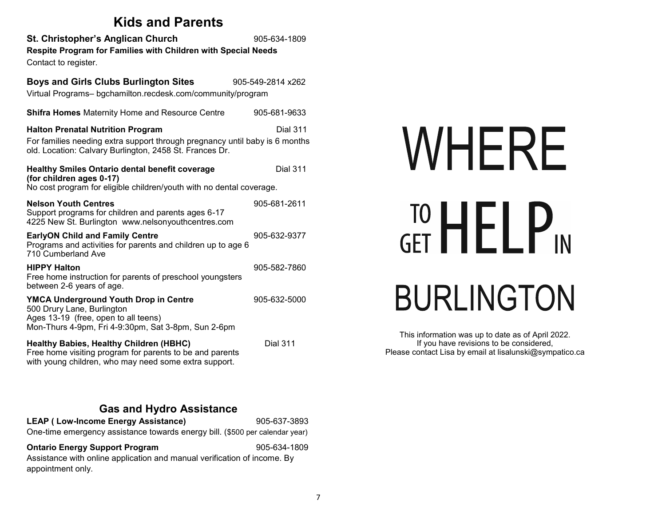| <b>Kids and Parents</b>                                                                                                                                                            |                   |
|------------------------------------------------------------------------------------------------------------------------------------------------------------------------------------|-------------------|
| St. Christopher's Anglican Church<br>Respite Program for Families with Children with Special Needs<br>Contact to register.                                                         | 905-634-1809      |
| <b>Boys and Girls Clubs Burlington Sites</b><br>Virtual Programs- bgchamilton.recdesk.com/community/program                                                                        | 905-549-2814 x262 |
| Shifra Homes Maternity Home and Resource Centre                                                                                                                                    | 905-681-9633      |
| <b>Halton Prenatal Nutrition Program</b><br>For families needing extra support through pregnancy until baby is 6 months<br>old. Location: Calvary Burlington, 2458 St. Frances Dr. | <b>Dial 311</b>   |
| Healthy Smiles Ontario dental benefit coverage<br>(for children ages 0-17)<br>No cost program for eligible children/youth with no dental coverage.                                 | <b>Dial 311</b>   |
| <b>Nelson Youth Centres</b><br>Support programs for children and parents ages 6-17<br>4225 New St. Burlington www.nelsonyouthcentres.com                                           | 905-681-2611      |
| <b>EarlyON Child and Family Centre</b><br>Programs and activities for parents and children up to age 6<br>710 Cumberland Ave                                                       | 905-632-9377      |
| <b>HIPPY Halton</b><br>Free home instruction for parents of preschool youngsters<br>between 2-6 years of age.                                                                      | 905-582-7860      |
| <b>YMCA Underground Youth Drop in Centre</b><br>500 Drury Lane, Burlington<br>Ages 13-19 (free, open to all teens)<br>Mon-Thurs 4-9pm, Fri 4-9:30pm, Sat 3-8pm, Sun 2-6pm          | 905-632-5000      |
| <b>Healthy Babies, Healthy Children (HBHC)</b><br>Free home visiting program for parents to be and parents<br>with young children, who may need some extra support.                | <b>Dial 311</b>   |

# WHERE **TO HELPIN**

# **BURLINGTON**

This information was up to date as of April 2022. If you have revisions to be considered, Please contact Lisa by email at lisalunski@sympatico.ca

#### **Gas and Hydro Assistance**

| <b>LEAP (Low-Income Energy Assistance)</b>                                   | 905-637-3893 |
|------------------------------------------------------------------------------|--------------|
| One-time emergency assistance towards energy bill. (\$500 per calendar year) |              |
| <b>Ontario Energy Support Program</b>                                        | 905-634-1809 |
| Assistance with online application and manual verification of income. By     |              |
| appointment only.                                                            |              |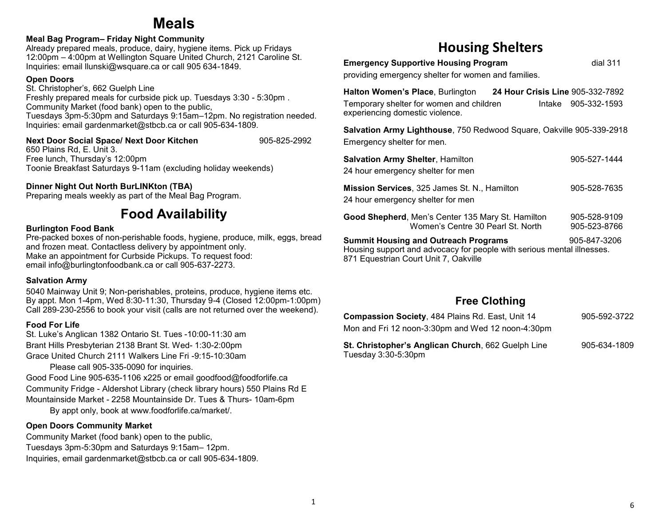# **Meals**

#### **Meal Bag Program– Friday Night Community**

Already prepared meals, produce, dairy, hygiene items. Pick up Fridays 12:00pm – 4:00pm at Wellington Square United Church, 2121 Caroline St. Inquiries: email llunski@wsquare.ca or call 905 634-1849.

#### **Open Doors**

St. Christopher's, 662 Guelph Line Freshly prepared meals for curbside pick up. Tuesdays 3:30 - 5:30pm . Community Market (food bank) open to the public, Tuesdays 3pm-5:30pm and Saturdays 9:15am–12pm. No registration needed. Inquiries: email gardenmarket@stbcb.ca or call 905-634-1809.

#### **Next Door Social Space/ Next Door Kitchen**  905-825-2992

650 Plains Rd, E. Unit 3. Free lunch, Thursday's 12:00pm Toonie Breakfast Saturdays 9-11am (excluding holiday weekends)

#### **Dinner Night Out North BurLINKton (TBA)**

Preparing meals weekly as part of the Meal Bag Program.

### **Food Availability**

#### **Burlington Food Bank**

Pre-packed boxes of non-perishable foods, hygiene, produce, milk, eggs, bread and frozen meat. Contactless delivery by appointment only. Make an appointment for Curbside Pickups. To request food: email info@burlingtonfoodbank.ca or call 905-637-2273.

#### **Salvation Army**

5040 Mainway Unit 9; Non-perishables, proteins, produce, hygiene items etc. By appt. Mon 1-4pm, Wed 8:30-11:30, Thursday 9-4 (Closed 12:00pm-1:00pm) Call 289-230-2556 to book your visit (calls are not returned over the weekend).

#### **Food For Life**

St. Luke's Anglican 1382 Ontario St. Tues -10:00-11:30 am Brant Hills Presbyterian 2138 Brant St. Wed- 1:30-2:00pm Grace United Church 2111 Walkers Line Fri -9:15-10:30am

Please call 905-335-0090 for inquiries.

Good Food Line 905-635-1106 x225 or email goodfood@foodforlife.ca Community Fridge - Aldershot Library (check library hours) 550 Plains Rd E Mountainside Market - 2258 Mountainside Dr. Tues & Thurs- 10am-6pm

By appt only, book at www.foodforlife.ca/market/.

#### **Open Doors Community Market**

Community Market (food bank) open to the public, Tuesdays 3pm-5:30pm and Saturdays 9:15am– 12pm. Inquiries, email gardenmarket@stbcb.ca or call 905-634-1809.

#### **Housing Shelters**

**Emergency Supportive Housing Program** dial 311

providing emergency shelter for women and families.

**Halton Women's Place**, Burlington **24 Hour Crisis Line** 905-332-7892 Temporary shelter for women and children **Intake** 905-332-1593 experiencing domestic violence.

**Salvation Army Lighthouse**, 750 Redwood Square, Oakville 905-339-2918 Emergency shelter for men.

| <b>Salvation Army Shelter, Hamilton</b><br>24 hour emergency shelter for men                                                                                                   | 905-527-1444                 |
|--------------------------------------------------------------------------------------------------------------------------------------------------------------------------------|------------------------------|
| <b>Mission Services, 325 James St. N., Hamilton</b><br>24 hour emergency shelter for men                                                                                       | 905-528-7635                 |
| Good Shepherd, Men's Center 135 Mary St. Hamilton<br>Women's Centre 30 Pearl St. North                                                                                         | 905-528-9109<br>905-523-8766 |
| <b>Summit Housing and Outreach Programs</b><br>905-847-3206<br>Housing support and advocacy for people with serious mental illnesses.<br>871 Equestrian Court Unit 7, Oakville |                              |

#### **Free Clothing**

| 905-592-3722 |  |
|--------------|--|
|              |  |
| 905-634-1809 |  |
|              |  |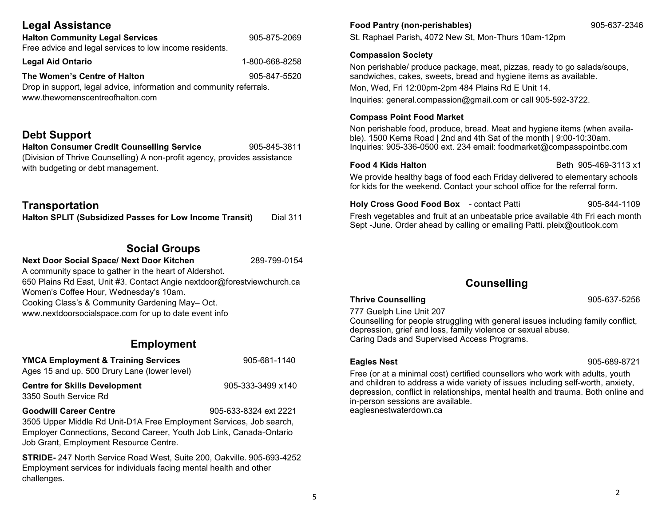|  | <b>Legal Assistance</b> |
|--|-------------------------|
|--|-------------------------|

www.thewomenscentreofhalton.com

| <b>Halton Community Legal Services</b>                              | 905-875-2069   |
|---------------------------------------------------------------------|----------------|
| Free advice and legal services to low income residents.             |                |
| <b>Legal Aid Ontario</b>                                            | 1-800-668-8258 |
| The Women's Centre of Halton                                        | 905-847-5520   |
| Drop in support, legal advice, information and community referrals. |                |

#### **Debt Support**

**Halton Consumer Credit Counselling Service** 905-845-3811 (Division of Thrive Counselling) A non-profit agency, provides assistance with budgeting or debt management.

#### **Transportation**

**Halton SPLIT (Subsidized Passes for Low Income Transit)** Dial 311

#### **Social Groups**

**Next Door Social Space/ Next Door Kitchen** 289-799-0154

A community space to gather in the heart of Aldershot. 650 Plains Rd East, Unit #3. Contact Angie nextdoor@forestviewchurch.ca Women's Coffee Hour, Wednesday's 10am. Cooking Class's & Community Gardening May– Oct. www.nextdoorsocialspace.com for up to date event info

#### **Employment**

**YMCA Employment & Training Services 1905-681-1140** Ages 15 and up. 500 Drury Lane (lower level)

**Centre for Skills Development** 905-333-3499 x140 3350 South Service Rd

**Goodwill Career Centre** 905-633-8324 ext 2221

3505 Upper Middle Rd Unit-D1A Free Employment Services, Job search, Employer Connections, Second Career, Youth Job Link, Canada-Ontario Job Grant, Employment Resource Centre.

**STRIDE-** 247 North Service Road West, Suite 200, Oakville. 905-693-4252 Employment services for individuals facing mental health and other challenges.

#### **Food Pantry (non-perishables)** 905-637-2346

St. Raphael Parish**,** 4072 New St, Mon-Thurs 10am-12pm

#### **Compassion Society**

Non perishable/ produce package, meat, pizzas, ready to go salads/soups, sandwiches, cakes, sweets, bread and hygiene items as available.

Mon, Wed, Fri 12:00pm-2pm 484 Plains Rd E Unit 14.

Inquiries: general.compassion@gmail.com or call 905-592-3722.

#### **Compass Point Food Market**

Non perishable food, produce, bread. Meat and hygiene items (when available). 1500 Kerns Road | 2nd and 4th Sat of the month | 9:00-10:30am. Inquiries: 905-336-0500 ext. 234 email: foodmarket@compasspointbc.com

**Food 4 Kids Halton**  Beth **905-469-3113 x1** 

We provide healthy bags of food each Friday delivered to elementary schools for kids for the weekend. Contact your school office for the referral form.

**Holy Cross Good Food Box** - contact Patti 905-844-1109 Fresh vegetables and fruit at an unbeatable price available 4th Fri each month Sept -June. Order ahead by calling or emailing Patti. pleix@outlook.com

#### **Counselling**

#### **Thrive Counselling** 905-637-5256

777 Guelph Line Unit 207

Counselling for people struggling with general issues including family conflict, depression, grief and loss, family violence or sexual abuse. Caring Dads and Supervised Access Programs.

**Eagles Nest** 905-689-8721

Free (or at a minimal cost) certified counsellors who work with adults, youth and children to address a wide variety of issues including self-worth, anxiety, depression, conflict in relationships, mental health and trauma. Both online and in-person sessions are available. eaglesnestwaterdown.ca

5